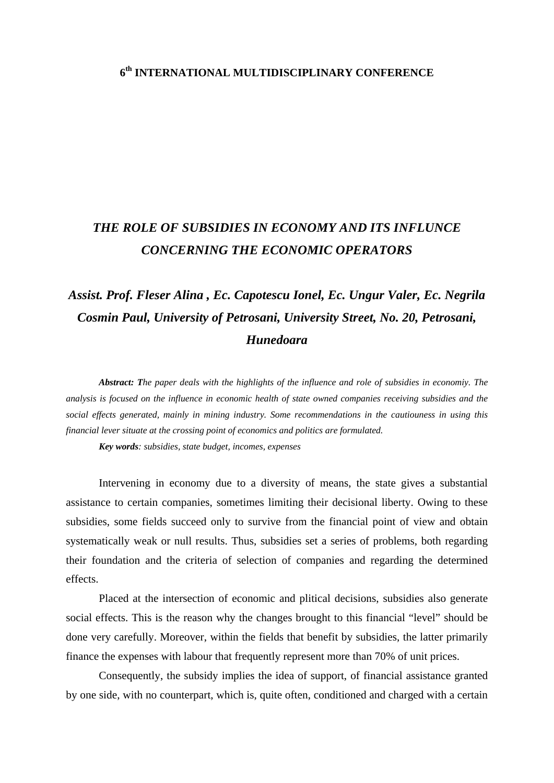## **6th INTERNATIONAL MULTIDISCIPLINARY CONFERENCE**

## *THE ROLE OF SUBSIDIES IN ECONOMY AND ITS INFLUNCE CONCERNING THE ECONOMIC OPERATORS*

## *Assist. Prof. Fleser Alina , Ec. Capotescu Ionel, Ec. Ungur Valer, Ec. Negrila Cosmin Paul, University of Petrosani, University Street, No. 20, Petrosani, Hunedoara*

*Abstract: The paper deals with the highlights of the influence and role of subsidies in economiy. The analysis is focused on the influence in economic health of state owned companies receiving subsidies and the social effects generated, mainly in mining industry. Some recommendations in the cautiouness in using this financial lever situate at the crossing point of economics and politics are formulated.* 

*Key words: subsidies, state budget, incomes, expenses* 

Intervening in economy due to a diversity of means, the state gives a substantial assistance to certain companies, sometimes limiting their decisional liberty. Owing to these subsidies, some fields succeed only to survive from the financial point of view and obtain systematically weak or null results. Thus, subsidies set a series of problems, both regarding their foundation and the criteria of selection of companies and regarding the determined effects.

 Placed at the intersection of economic and plitical decisions, subsidies also generate social effects. This is the reason why the changes brought to this financial "level" should be done very carefully. Moreover, within the fields that benefit by subsidies, the latter primarily finance the expenses with labour that frequently represent more than 70% of unit prices.

 Consequently, the subsidy implies the idea of support, of financial assistance granted by one side, with no counterpart, which is, quite often, conditioned and charged with a certain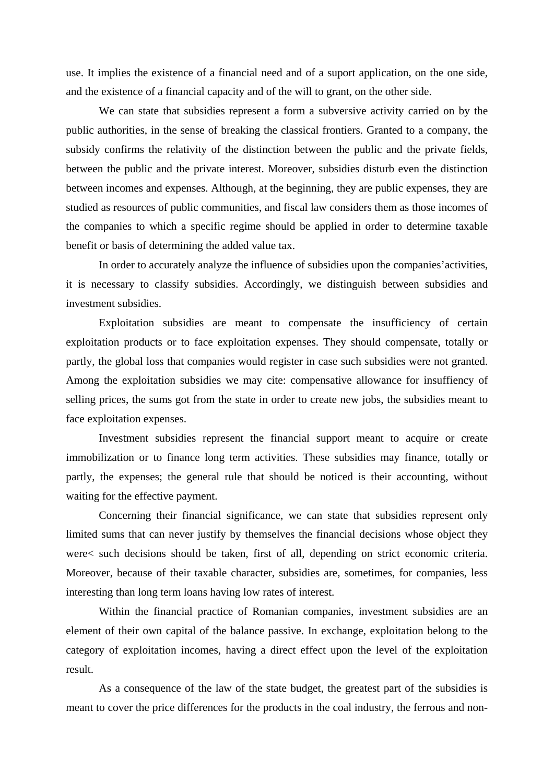use. It implies the existence of a financial need and of a suport application, on the one side, and the existence of a financial capacity and of the will to grant, on the other side.

 We can state that subsidies represent a form a subversive activity carried on by the public authorities, in the sense of breaking the classical frontiers. Granted to a company, the subsidy confirms the relativity of the distinction between the public and the private fields, between the public and the private interest. Moreover, subsidies disturb even the distinction between incomes and expenses. Although, at the beginning, they are public expenses, they are studied as resources of public communities, and fiscal law considers them as those incomes of the companies to which a specific regime should be applied in order to determine taxable benefit or basis of determining the added value tax.

 In order to accurately analyze the influence of subsidies upon the companies'activities, it is necessary to classify subsidies. Accordingly, we distinguish between subsidies and investment subsidies.

 Exploitation subsidies are meant to compensate the insufficiency of certain exploitation products or to face exploitation expenses. They should compensate, totally or partly, the global loss that companies would register in case such subsidies were not granted. Among the exploitation subsidies we may cite: compensative allowance for insuffiency of selling prices, the sums got from the state in order to create new jobs, the subsidies meant to face exploitation expenses.

 Investment subsidies represent the financial support meant to acquire or create immobilization or to finance long term activities. These subsidies may finance, totally or partly, the expenses; the general rule that should be noticed is their accounting, without waiting for the effective payment.

 Concerning their financial significance, we can state that subsidies represent only limited sums that can never justify by themselves the financial decisions whose object they were< such decisions should be taken, first of all, depending on strict economic criteria. Moreover, because of their taxable character, subsidies are, sometimes, for companies, less interesting than long term loans having low rates of interest.

 Within the financial practice of Romanian companies, investment subsidies are an element of their own capital of the balance passive. In exchange, exploitation belong to the category of exploitation incomes, having a direct effect upon the level of the exploitation result.

 As a consequence of the law of the state budget, the greatest part of the subsidies is meant to cover the price differences for the products in the coal industry, the ferrous and non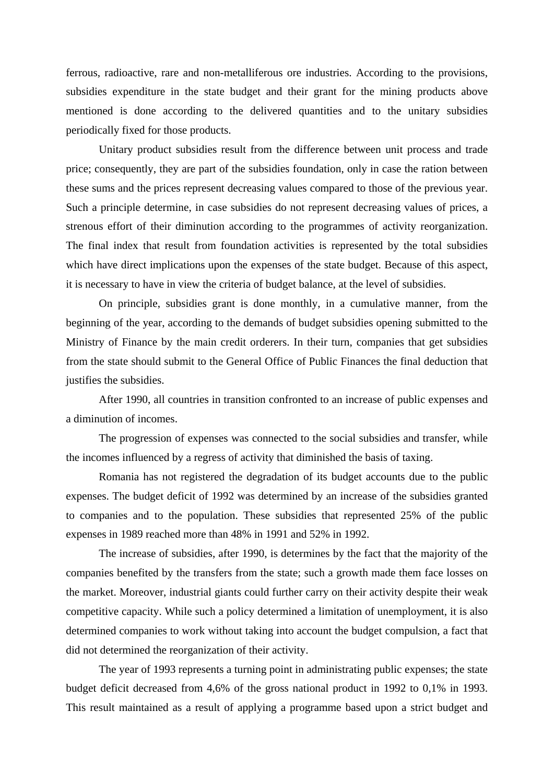ferrous, radioactive, rare and non-metalliferous ore industries. According to the provisions, subsidies expenditure in the state budget and their grant for the mining products above mentioned is done according to the delivered quantities and to the unitary subsidies periodically fixed for those products.

 Unitary product subsidies result from the difference between unit process and trade price; consequently, they are part of the subsidies foundation, only in case the ration between these sums and the prices represent decreasing values compared to those of the previous year. Such a principle determine, in case subsidies do not represent decreasing values of prices, a strenous effort of their diminution according to the programmes of activity reorganization. The final index that result from foundation activities is represented by the total subsidies which have direct implications upon the expenses of the state budget. Because of this aspect, it is necessary to have in view the criteria of budget balance, at the level of subsidies.

 On principle, subsidies grant is done monthly, in a cumulative manner, from the beginning of the year, according to the demands of budget subsidies opening submitted to the Ministry of Finance by the main credit orderers. In their turn, companies that get subsidies from the state should submit to the General Office of Public Finances the final deduction that justifies the subsidies.

 After 1990, all countries in transition confronted to an increase of public expenses and a diminution of incomes.

 The progression of expenses was connected to the social subsidies and transfer, while the incomes influenced by a regress of activity that diminished the basis of taxing.

 Romania has not registered the degradation of its budget accounts due to the public expenses. The budget deficit of 1992 was determined by an increase of the subsidies granted to companies and to the population. These subsidies that represented 25% of the public expenses in 1989 reached more than 48% in 1991 and 52% in 1992.

 The increase of subsidies, after 1990, is determines by the fact that the majority of the companies benefited by the transfers from the state; such a growth made them face losses on the market. Moreover, industrial giants could further carry on their activity despite their weak competitive capacity. While such a policy determined a limitation of unemployment, it is also determined companies to work without taking into account the budget compulsion, a fact that did not determined the reorganization of their activity.

 The year of 1993 represents a turning point in administrating public expenses; the state budget deficit decreased from 4,6% of the gross national product in 1992 to 0,1% in 1993. This result maintained as a result of applying a programme based upon a strict budget and